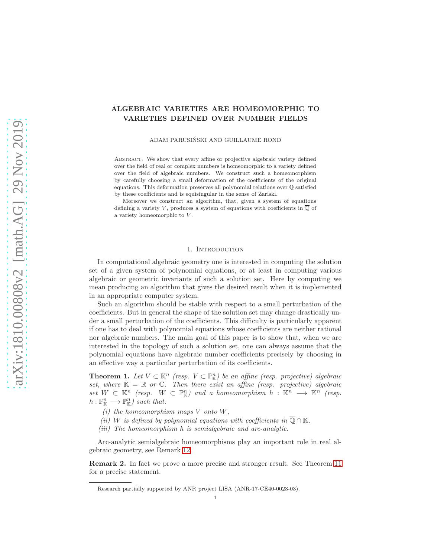# ALGEBRAIC VARIETIES ARE HOMEOMORPHIC TO VARIETIES DEFINED OVER NUMBER FIELDS

ADAM PARUSIŃSKI AND GUILLAUME ROND

ABSTRACT. We show that every affine or projective algebraic variety defined over the field of real or complex numbers is homeomorphic to a variety defined over the field of algebraic numbers. We construct such a homeomorphism by carefully choosing a small deformation of the coefficients of the original equations. This deformation preserves all polynomial relations over Q satisfied by these coefficients and is equisingular in the sense of Zariski.

Moreover we construct an algorithm, that, given a system of equations defining a variety V, produces a system of equations with coefficients in  $\overline{Q}$  of a variety homeomorphic to V .

## 1. Introduction

In computational algebraic geometry one is interested in computing the solution set of a given system of polynomial equations, or at least in computing various algebraic or geometric invariants of such a solution set. Here by computing we mean producing an algorithm that gives the desired result when it is implemented in an appropriate computer system.

Such an algorithm should be stable with respect to a small perturbation of the coefficients. But in general the shape of the solution set may change drastically under a small perturbation of the coefficients. This difficulty is particularly apparent if one has to deal with polynomial equations whose coefficients are neither rational nor algebraic numbers. The main goal of this paper is to show that, when we are interested in the topology of such a solution set, one can always assume that the polynomial equations have algebraic number coefficients precisely by choosing in an effective way a particular perturbation of its coefficients.

<span id="page-0-0"></span>**Theorem 1.** Let  $V \subset \mathbb{K}^n$  (resp.  $V \subset \mathbb{P}_{\mathbb{K}}^n$ ) be an affine (resp. projective) algebraic set, where  $K = \mathbb{R}$  or  $\mathbb{C}$ . Then there exist an affine (resp. projective) algebraic  $set W \subset \mathbb{K}^n$  (resp.  $W \subset \mathbb{P}^n_{\mathbb{K}}$ ) and a homeomorphism  $h : \mathbb{K}^n \longrightarrow \mathbb{K}^n$  (resp.  $h: \mathbb{P}^n_{\mathbb{K}} \longrightarrow \mathbb{P}^n_{\mathbb{K}}$ ) such that:

- (i) the homeomorphism maps  $V$  onto  $W$ ,
- (ii) W is defined by polynomial equations with coefficients in  $\overline{\mathbb{Q}} \cap \mathbb{K}$ .
- (iii) The homeomorphism h is semialgebraic and arc-analytic.

Arc-analytic semialgebraic homeomorphisms play an important role in real algebraic geometry, see Remark [12.](#page-7-0)

Remark 2. In fact we prove a more precise and stronger result. See Theorem [11](#page-7-1) for a precise statement.

Research partially supported by ANR project LISA (ANR-17-CE40-0023-03).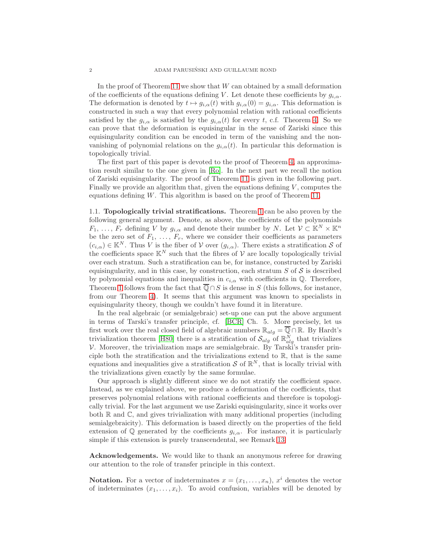In the proof of Theorem [11](#page-7-1) we show that  $W$  can obtained by a small deformation of the coefficients of the equations defining V. Let denote these coefficients by  $g_{i,\alpha}$ . The deformation is denoted by  $t \mapsto g_{i,\alpha}(t)$  with  $g_{i,\alpha}(0) = g_{i,\alpha}$ . This deformation is constructed in such a way that every polynomial relation with rational coefficients satisfied by the  $g_{i,\alpha}$  is satisfied by the  $g_{i,\alpha}(t)$  for every t, c.f. Theorem [4.](#page-2-0) So we can prove that the deformation is equisingular in the sense of Zariski since this equisingularity condition can be encoded in term of the vanishing and the nonvanishing of polynomial relations on the  $g_{i,\alpha}(t)$ . In particular this deformation is topologically trivial.

The first part of this paper is devoted to the proof of Theorem [4,](#page-2-0) an approximation result similar to the one given in [\[Ro\]](#page-15-0). In the next part we recall the notion of Zariski equisingularity. The proof of Theorem [11](#page-7-1) is given in the following part. Finally we provide an algorithm that, given the equations defining  $V$ , computes the equations defining W. This algorithm is based on the proof of Theorem [11.](#page-7-1)

1.1. Topologically trivial stratifications. Theorem [1](#page-0-0) can be also proven by the following general argument. Denote, as above, the coefficients of the polynomials  $F_1, \ldots, F_r$  defining V by  $g_{i,\alpha}$  and denote their number by N. Let  $\mathcal{V} \subset \mathbb{K}^N \times \mathbb{K}^n$ be the zero set of  $F_1, \ldots, F_r$ , where we consider their coefficients as parameters  $(c_{i,\alpha}) \in \mathbb{K}^N$ . Thus V is the fiber of V over  $(g_{i,\alpha})$ . There exists a stratification S of the coefficients space  $\mathbb{K}^N$  such that the fibres of  $\mathcal V$  are locally topologically trivial over each stratum. Such a stratification can be, for instance, constructed by Zariski equisingularity, and in this case, by construction, each stratum  $S$  of  $S$  is described by polynomial equations and inequalities in  $c_{i,\alpha}$  with coefficients in  $\mathbb{Q}$ . Therefore, Theorem [1](#page-0-0) follows from the fact that  $\overline{\mathbb{Q}} \cap S$  is dense in S (this follows, for instance, from our Theorem [4\)](#page-2-0). It seems that this argument was known to specialists in equisingularity theory, though we couldn't have found it in literature.

In the real algebraic (or semialgebraic) set-up one can put the above argument in terms of Tarski's transfer principle, cf. [\[BCR\]](#page-14-0) Ch. 5. More precisely, let us first work over the real closed field of algebraic numbers  $\mathbb{R}_{alg} = \overline{\mathbb{Q}} \cap \mathbb{R}$ . By Hardt's trivialization theorem [\[H80\]](#page-15-1) there is a stratification of  $\mathcal{S}_{alg}$  of  $\mathbb{R}^N_{alg}$  that trivializes V. Moreover, the trivialization maps are semialgebraic. By Tarski's transfer principle both the stratification and the trivializations extend to  $\mathbb{R}$ , that is the same equations and inequalities give a stratification  $S$  of  $\mathbb{R}^N$ , that is locally trivial with the trivializations given exactly by the same formulae.

Our approach is slightly different since we do not stratify the coefficient space. Instead, as we explained above, we produce a deformation of the coefficients, that preserves polynomial relations with rational coefficients and therefore is topologically trivial. For the last argument we use Zariski equisingularity, since it works over both  $\mathbb R$  and  $\mathbb C$ , and gives trivialization with many additional properties (including semialgebraicity). This deformation is based directly on the properties of the field extension of  $\mathbb Q$  generated by the coefficients  $g_{i,\alpha}$ . For instance, it is particularly simple if this extension is purely transcendental, see Remark [13.](#page-7-2)

Acknowledgements. We would like to thank an anonymous referee for drawing our attention to the role of transfer principle in this context.

**Notation.** For a vector of indeterminates  $x = (x_1, \ldots, x_n)$ ,  $x^i$  denotes the vector of indeterminates  $(x_1, \ldots, x_i)$ . To avoid confusion, variables will be denoted by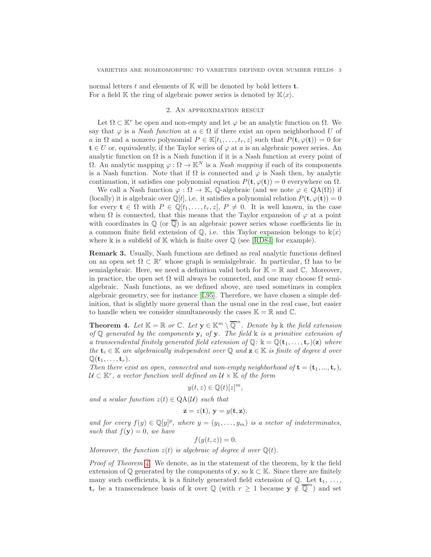normal letters t and elements of  $\mathbb K$  will be denoted by bold letters t. For a field K the ring of algebraic power series is denoted by  $\mathbb{K}\langle x\rangle$ .

### 2. An approximation result

Let  $\Omega \subset \mathbb{K}^r$  be open and non-empty and let  $\varphi$  be an analytic function on  $\Omega$ . We say that  $\varphi$  is a *Nash function* at  $a \in \Omega$  if there exist an open neighborhood U of a in  $\Omega$  and a nonzero polynomial  $P \in \mathbb{K}[t_1,\ldots,t_r,z]$  such that  $P(\mathbf{t},\varphi(\mathbf{t}))=0$  for  $t \in U$  or, equivalently, if the Taylor series of  $\varphi$  at a is an algebraic power series. An analytic function on  $\Omega$  is a Nash function if it is a Nash function at every point of  $Ω$ . An analytic mapping  $ϕ: Ω → \mathbb{K}^N$  is a *Nash mapping* if each of its components is a Nash function. Note that if  $\Omega$  is connected and  $\varphi$  is Nash then, by analytic continuation, it satisfies one polynomial equation  $P(\mathbf{t}, \varphi(\mathbf{t})) = 0$  everywhere on  $\Omega$ .

We call a Nash function  $\varphi : \Omega \to \mathbb{K}$ , Q-algebraic (and we note  $\varphi \in QA(\Omega)$ ) if (locally) it is algebraic over  $\mathbb{Q}[t]$ , i.e. it satisfies a polynomial relation  $P(\mathbf{t}, \varphi(\mathbf{t})) = 0$ for every  $\mathbf{t} \in \Omega$  with  $P \in \mathbb{Q}[t_1,\ldots,t_r,z], P \neq 0$ . It is well known, in the case when  $\Omega$  is connected, that this means that the Taylor expansion of  $\varphi$  at a point with coordinates in  $\mathbb{Q}$  (or  $\overline{\mathbb{Q}}$ ) is an algebraic power series whose coefficients lie in a common finite field extension of  $\mathbb{Q}$ , i.e. this Taylor expansion belongs to  $\mathbb{k}\langle x \rangle$ where  $\Bbbk$  is a subfield of  $\Bbb K$  which is finite over  $\Bbb Q$  (see [\[RD84\]](#page-15-2) for example).

Remark 3. Usually, Nash functions are defined as real analytic functions defined on an open set  $\Omega \subset \mathbb{R}^r$  whose graph is semialgebraic. In particular,  $\Omega$  has to be semialgebraic. Here, we need a definition valid both for  $\mathbb{K} = \mathbb{R}$  and  $\mathbb{C}$ . Moreover, in practice, the open set  $\Omega$  will always be connected, and one may choose  $\Omega$  semialgebraic. Nash functions, as we defined above, are used sometimes in complex algebraic geometry, see for instance [\[L95\]](#page-15-3). Therefore, we have chosen a simple definition, that is slightly more general than the usual one in the real case, but easier to handle when we consider simultaneously the cases  $\mathbb{K} = \mathbb{R}$  and  $\mathbb{C}$ .

<span id="page-2-0"></span>**Theorem 4.** Let  $\mathbb{K} = \mathbb{R}$  or  $\mathbb{C}$ . Let  $\mathbf{y} \in \mathbb{K}^m \setminus \overline{\mathbb{Q}}^m$ . Denote by  $\mathbb{k}$  the field extension of Q generated by the components  $y_i$  of y. The field  $k$  is a primitive extension of a transcendental finitely generated field extension of  $\mathbb{Q}: \mathbb{k} = \mathbb{Q}(\mathbf{t}_1, \dots, \mathbf{t}_r)(\mathbf{z})$  where the  $\mathbf{t}_i \in \mathbb{K}$  are algebraically independent over Q and  $\mathbf{z} \in \mathbb{K}$  is finite of degree d over  $\mathbb{Q}(\mathbf{t}_1,\ldots,\mathbf{t}_r).$ 

Then there exist an open, connected and non-empty neighborhood of  $\mathbf{t} = (\mathbf{t}_1, ..., \mathbf{t}_r)$ ,  $\mathcal{U} \subset \mathbb{K}^r$ , a vector function well defined on  $\mathcal{U} \times \mathbb{K}$  of the form

$$
y(t,z)\in \mathbb{Q}(t)[z]^m,
$$

and a scalar function  $z(t) \in QA(\mathcal{U})$  such that

$$
\mathbf{z} = z(\mathbf{t}), \, \mathbf{y} = y(\mathbf{t}, \mathbf{z}),
$$

and for every  $f(y) \in \mathbb{Q}[y]^p$ , where  $y = (y_1, \ldots, y_m)$  is a vector of indeterminates, such that  $f(\mathbf{y}) = 0$ , we have

$$
f(y(t,z)) = 0.
$$

Moreover, the function  $z(t)$  is algebraic of degree d over  $\mathbb{Q}(t)$ .

*Proof of Theorem [4.](#page-2-0)* We denote, as in the statement of the theorem, by  $\Bbbk$  the field extension of  $\mathbb Q$  generated by the components of y, so  $\mathbb k \subset \mathbb K$ . Since there are finitely many such coefficients, k is a finitely generated field extension of  $\mathbb{Q}$ . Let  $\mathbf{t}_1, \ldots,$  $\mathbf{t}_r$  be a transcendence basis of k over  $\mathbb Q$  (with  $r \geq 1$  because  $\mathbf{y} \notin \mathbb{\overline{Q}}^m$ ) and set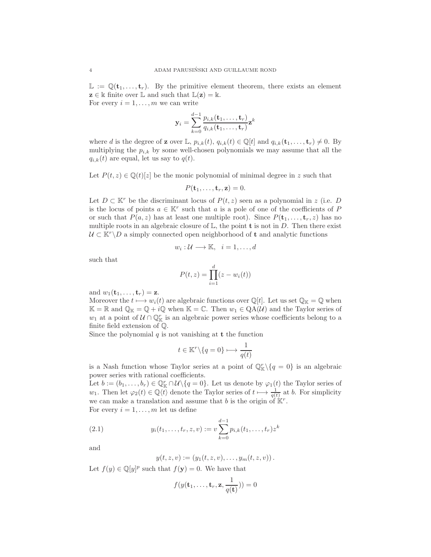$\mathbb{L} := \mathbb{Q}(\mathbf{t}_1, \dots, \mathbf{t}_r)$ . By the primitive element theorem, there exists an element  $z \in \mathbb{k}$  finite over  $\mathbb{L}$  and such that  $\mathbb{L}(z) = \mathbb{k}$ . For every  $i = 1, \ldots, m$  we can write

$$
\mathbf{y}_i = \sum_{k=0}^{d-1} \frac{p_{i,k}(\mathbf{t}_1, \dots, \mathbf{t}_r)}{q_{i,k}(\mathbf{t}_1, \dots, \mathbf{t}_r)} \mathbf{z}^k
$$

where d is the degree of **z** over L,  $p_{i,k}(t)$ ,  $q_{i,k}(t) \in \mathbb{Q}[t]$  and  $q_{i,k}(\mathbf{t}_1, \ldots, \mathbf{t}_r) \neq 0$ . By multiplying the  $p_{i,k}$  by some well-chosen polynomials we may assume that all the  $q_{i,k}(t)$  are equal, let us say to  $q(t)$ .

Let  $P(t, z) \in \mathbb{Q}(t)[z]$  be the monic polynomial of minimal degree in z such that

$$
P(\mathbf{t}_1,\ldots,\mathbf{t}_r,\mathbf{z})=0.
$$

Let  $D \subset \mathbb{K}^r$  be the discriminant locus of  $P(t, z)$  seen as a polynomial in z (i.e. D is the locus of points  $a \in \mathbb{K}^r$  such that a is a pole of one of the coefficients of P or such that  $P(a, z)$  has at least one multiple root). Since  $P(\mathbf{t}_1, \ldots, \mathbf{t}_r, z)$  has no multiple roots in an algebraic closure of  $\mathbb{L}$ , the point **t** is not in D. Then there exist  $U \subset K^r \backslash D$  a simply connected open neighborhood of **t** and analytic functions

$$
w_i: \mathcal{U} \longrightarrow \mathbb{K}, \quad i = 1, \dots, d
$$

such that

$$
P(t,z) = \prod_{i=1}^{d} (z - w_i(t))
$$

and  $w_1(\mathbf{t}_1, \ldots, \mathbf{t}_r) = \mathbf{z}$ .

Moreover the  $t \mapsto w_i(t)$  are algebraic functions over  $\mathbb{Q}[t]$ . Let us set  $\mathbb{Q}_\mathbb{K} = \mathbb{Q}$  when  $\mathbb{K} = \mathbb{R}$  and  $\mathbb{Q}_{\mathbb{K}} = \mathbb{Q} + i\mathbb{Q}$  when  $\mathbb{K} = \mathbb{C}$ . Then  $w_1 \in \mathcal{QA}(\mathcal{U})$  and the Taylor series of  $w_1$  at a point of  $\mathcal{U} \cap \mathbb{Q}_{\mathbb{K}}^r$  is an algebraic power series whose coefficients belong to a finite field extension of Q.

Since the polynomial  $q$  is not vanishing at  $t$  the function

$$
t \in \mathbb{K}^r \backslash \{q = 0\} \longmapsto \frac{1}{q(t)}
$$

is a Nash function whose Taylor series at a point of  $\mathbb{Q}_{\mathbb{K}}^r \setminus \{q = 0\}$  is an algebraic power series with rational coefficients.

Let  $b := (b_1, \ldots, b_r) \in \mathbb{Q}_{\mathbb{K}}^r \cap \mathcal{U} \setminus \{q = 0\}$ . Let us denote by  $\varphi_1(t)$  the Taylor series of  $w_1$ . Then let  $\varphi_2(t) \in \mathbb{Q}\langle t \rangle$  denote the Taylor series of  $t \mapsto \frac{1}{q(t)}$  at b. For simplicity we can make a translation and assume that b is the origin of  $K^r$ . For every  $i = 1, \ldots, m$  let us define

(2.1) 
$$
y_i(t_1,\ldots,t_r,z,v) := v \sum_{k=0}^{d-1} p_{i,k}(t_1,\ldots,t_r) z^k
$$

and

<span id="page-3-0"></span>
$$
y(t, z, v) := (y_1(t, z, v), \dots, y_m(t, z, v)).
$$

Let  $f(y) \in \mathbb{Q}[y]^p$  such that  $f(\mathbf{y}) = 0$ . We have that

$$
f(y(\mathbf{t}_1,\ldots,\mathbf{t}_r,\mathbf{z},\frac{1}{q(\mathbf{t})}))=0
$$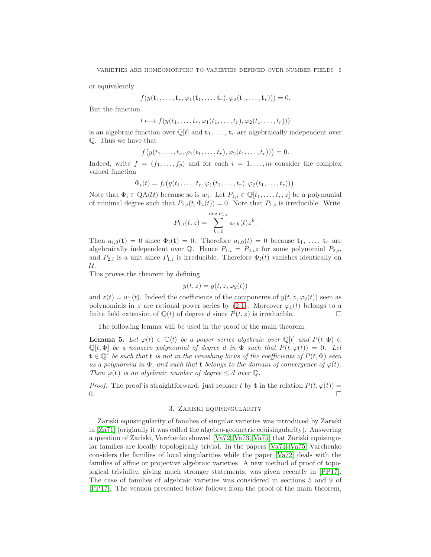or equivalently

$$
f(y(\mathbf{t}_1,\ldots,\mathbf{t}_r,\varphi_1(\mathbf{t}_1,\ldots,\mathbf{t}_r),\varphi_2(\mathbf{t}_1,\ldots,\mathbf{t}_r)))=0.
$$

But the function

$$
t \longmapsto f(y(t_1,\ldots,t_r,\varphi_1(t_1,\ldots,t_r),\varphi_2(t_1,\ldots,t_r)))
$$

is an algebraic function over  $\mathbb{Q}[t]$  and  $\mathbf{t}_1, \ldots, \mathbf{t}_r$  are algebraically independent over Q. Thus we have that

$$
f(y(t_1,...,t_r,\varphi_1(t_1,...,t_r),\varphi_2(t_1,...,t_r)))=0.
$$

Indeed, write  $f = (f_1, \ldots, f_p)$  and for each  $i = 1, \ldots, m$  consider the complex valued function

$$
\Phi_i(t) = f_i\big(y(t_1,\ldots,t_r,\varphi_1(t_1,\ldots,t_r),\varphi_2(t_1,\ldots,t_r))\big)
$$

.

Note that  $\Phi_i \in QA(\mathcal{U})$  because so is  $w_1$ . Let  $P_{1,i} \in \mathbb{Q}[t_1, \ldots, t_r, z]$  be a polynomial of minimal degree such that  $P_{1,i}(t, \Phi_i(t)) = 0$ . Note that  $P_{1,i}$  is irreducible. Write

$$
P_{1,i}(t,z) = \sum_{k=0}^{\deg P_{1,i}} a_{i,k}(t) z^k.
$$

Then  $a_{i,0}(\mathbf{t}) = 0$  since  $\Phi_i(\mathbf{t}) = 0$ . Therefore  $a_{i,0}(t) = 0$  because  $\mathbf{t}_1, \ldots, \mathbf{t}_r$  are algebraically independent over Q. Hence  $P_{1,i} = P_{2,i}z$  for some polynomial  $P_{2,i}$ , and  $P_{2,i}$  is a unit since  $P_{1,i}$  is irreducible. Therefore  $\Phi_i(t)$  vanishes identically on  $\mathcal{U}.$ 

This proves the theorem by defining

$$
y(t, z) = y(t, z, \varphi_2(t))
$$

and  $z(t) = w_1(t)$ . Indeed the coefficients of the components of  $y(t, z, \varphi_2(t))$  seen as polynomials in z are rational power series by  $(2.1)$ . Moreover  $\varphi_1(t)$  belongs to a finite field extension of  $\mathbb{Q}(t)$  of degree d since  $P(t, z)$  is irreducible.

The following lemma will be used in the proof of the main theorem:

<span id="page-4-0"></span>**Lemma 5.** Let  $\varphi(t) \in \mathbb{C}\langle t \rangle$  be a power series algebraic over  $\mathbb{Q}[t]$  and  $P(t, \Phi) \in$  $\mathbb{Q}[t, \Phi]$  be a nonzero polynomial of degree d in  $\Phi$  such that  $P(t, \varphi(t)) = 0$ . Let  $\mathbf{t} \in \mathbb{Q}^r$  be such that  $\mathbf{t}$  is not in the vanishing locus of the coefficients of  $P(t, \Phi)$  seen as a polynomial in  $\Phi$ , and such that t belongs to the domain of convergence of  $\varphi(t)$ . Then  $\varphi(\mathbf{t})$  is an algebraic number of degree  $\leq d$  over  $\mathbb{Q}$ .

*Proof.* The proof is straightforward: just replace t by **t** in the relation  $P(t, \varphi(t)) =$  $\overline{0}$ .

# 3. Zariski equisingularity

Zariski equisingularity of families of singular varieties was introduced by Zariski in [\[Za71\]](#page-15-4) (originally it was called the algebro-geometric equisingularity). Answering a question of Zariski, Varchenko showed [\[Va72,](#page-15-5) [Va73,](#page-15-6) [Va75\]](#page-15-7) that Zariski equisingular families are locally topologically trivial. In the papers [\[Va73,](#page-15-6) [Va75\]](#page-15-7) Varchenko considers the families of local singularities while the paper [\[Va72\]](#page-15-5) deals with the families of affine or projective algebraic varieties. A new method of proof of topological triviality, giving much stronger statements, was given recently in [\[PP17\]](#page-15-8). The case of families of algebraic varieties was considered in sections 5 and 9 of [\[PP17\]](#page-15-8). The version presented below follows from the proof of the main theorem,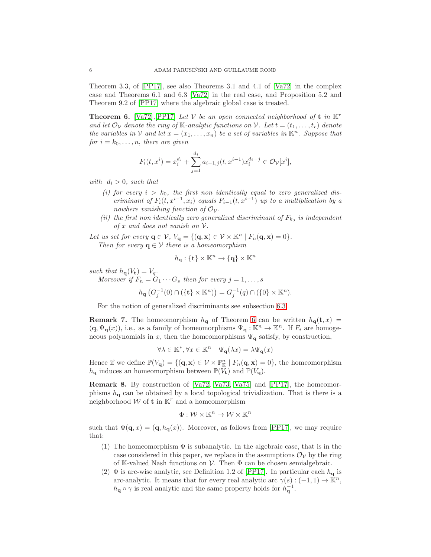Theorem 3.3, of [\[PP17\]](#page-15-8), see also Theorems 3.1 and 4.1 of [\[Va72\]](#page-15-5) in the complex case and Theorems 6.1 and 6.3 [\[Va72\]](#page-15-5) in the real case, and Proposition 5.2 and Theorem 9.2 of [\[PP17\]](#page-15-8) where the algebraic global case is treated.

<span id="page-5-0"></span>**Theorem 6.** [\[Va72\]](#page-15-5), [\[PP17\]](#page-15-8) Let V be an open connected neighborhood of **t** in  $K^r$ and let  $\mathcal{O}_{\mathcal{V}}$  denote the ring of K-analytic functions on  $\mathcal{V}$ . Let  $t = (t_1, \ldots, t_r)$  denote the variables in V and let  $x = (x_1, \ldots, x_n)$  be a set of variables in  $\mathbb{K}^n$ . Suppose that for  $i = k_0, \ldots, n$ , there are given

$$
F_i(t, x^i) = x_i^{d_i} + \sum_{j=1}^{d_i} a_{i-1,j}(t, x^{i-1}) x_i^{d_i - j} \in \mathcal{O}_{\mathcal{V}}[x^i],
$$

with  $d_i > 0$ , such that

- (i) for every  $i > k_0$ , the first non identically equal to zero generalized discriminant of  $F_i(t, x^{i-1}, x_i)$  equals  $F_{i-1}(t, x^{i-1})$  up to a multiplication by a nowhere vanishing function of  $\mathcal{O}_{\mathcal{V}}$ .
- (ii) the first non identically zero generalized discriminant of  $F_{k_0}$  is independent of x and does not vanish on  $V$ .

Let us set for every  $\mathbf{q} \in \mathcal{V}$ ,  $V_{\mathbf{q}} = \{(\mathbf{q}, \mathbf{x}) \in \mathcal{V} \times \mathbb{K}^n \mid F_n(\mathbf{q}, \mathbf{x}) = 0\}.$ Then for every  $q \in V$  there is a homeomorphism

$$
h_{\mathbf{q}}: \{\mathbf{t}\}\times\mathbb{K}^n\rightarrow\{\mathbf{q}\}\times\mathbb{K}^n
$$

such that  $h_{\mathbf{q}}(V_{\mathbf{t}}) = V_q$ .

Moreover if  $F_n = G_1 \cdots G_s$  then for every  $j = 1, \ldots, s$ 

$$
h_{\mathbf{q}}(G_j^{-1}(0) \cap (\{\mathbf{t}\} \times \mathbb{K}^n)) = G_j^{-1}(q) \cap (\{0\} \times \mathbb{K}^n).
$$

For the notion of generalized discriminants see subsection [6.3.](#page-14-1)

<span id="page-5-1"></span>**Remark 7.** The homeomorphism  $h_{q}$  of Theorem [6](#page-5-0) can be written  $h_{q}(t, x)$  =  $(q, \Psi_{\mathbf{q}}(x))$ , i.e., as a family of homeomorphisms  $\Psi_{\mathbf{q}} : \mathbb{K}^n \to \mathbb{K}^n$ . If  $F_i$  are homogeneous polynomials in x, then the homeomorphisms  $\Psi_{q}$  satisfy, by construction,

$$
\forall \lambda \in \mathbb{K}^*, \forall x \in \mathbb{K}^n \quad \Psi_{\mathbf{q}}(\lambda x) = \lambda \Psi_{\mathbf{q}}(x)
$$

Hence if we define  $\mathbb{P}(V_q) = \{(\mathbf{q}, \mathbf{x}) \in \mathcal{V} \times \mathbb{P}^n_{\mathbb{K}} \mid F_n(\mathbf{q}, \mathbf{x}) = 0\}$ , the homeomorphism  $h_{\mathbf{q}}$  induces an homeomorphism between  $\mathbb{P}(V_{\mathbf{t}})$  and  $\mathbb{P}(V_{\mathbf{q}})$ .

Remark 8. By construction of [\[Va72,](#page-15-5) [Va73,](#page-15-6) [Va75\]](#page-15-7) and [\[PP17\]](#page-15-8), the homeomorphisms  $h_{\mathbf{q}}$  can be obtained by a local topological trivialization. That is there is a neighborhood  $W$  of **t** in  $K^r$  and a homeomorphism

$$
\Phi: \mathcal{W} \times \mathbb{K}^n \to \mathcal{W} \times \mathbb{K}^n
$$

such that  $\Phi(\mathbf{q},x) = (\mathbf{q}, h_{\mathbf{q}}(x))$ . Moreover, as follows from [\[PP17\]](#page-15-8), we may require that:

- (1) The homeomorphism  $\Phi$  is subanalytic. In the algebraic case, that is in the case considered in this paper, we replace in the assumptions  $\mathcal{O}_{\mathcal{V}}$  by the ring of K-valued Nash functions on  $V$ . Then  $\Phi$  can be chosen semialgebraic.
- (2)  $\Phi$  is arc-wise analytic, see Definition 1.2 of [\[PP17\]](#page-15-8). In particular each  $h_{\mathbf{q}}$  is arc-analytic. It means that for every real analytic arc  $\gamma(s) : (-1, 1) \to \mathbb{K}^n$ ,  $h_{\mathbf{q}} \circ \gamma$  is real analytic and the same property holds for  $h_{\mathbf{q}}^{-1}$ .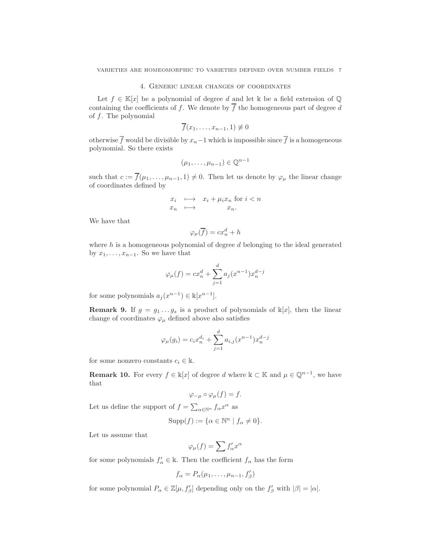# 4. Generic linear changes of coordinates

<span id="page-6-0"></span>Let  $f \in \mathbb{K}[x]$  be a polynomial of degree d and let k be a field extension of  $\mathbb{Q}$ containing the coefficients of f. We denote by  $\overline{f}$  the homogeneous part of degree d of  $f$ . The polynomial

$$
\overline{f}(x_1,\ldots,x_{n-1},1)\not\equiv 0
$$

otherwise  $\overline{f}$  would be divisible by  $x_n-1$  which is impossible since  $\overline{f}$  is a homogeneous polynomial. So there exists

$$
(\mu_1,\ldots,\mu_{n-1})\in\mathbb{Q}^{n-1}
$$

such that  $c := \overline{f}(\mu_1, \ldots, \mu_{n-1}, 1) \neq 0$ . Then let us denote by  $\varphi_\mu$  the linear change of coordinates defined by

$$
\begin{array}{rcl}\nx_i & \longmapsto & x_i + \mu_i x_n \text{ for } i < n \\
x_n & \longmapsto & x_n.\n\end{array}
$$

We have that

$$
\varphi_{\mu}(\overline{f}) = cx_n^d + h
$$

where  $h$  is a homogeneous polynomial of degree  $d$  belonging to the ideal generated by  $x_1, \ldots, x_{n-1}$ . So we have that

$$
\varphi_{\mu}(f) = cx_n^d + \sum_{j=1}^d a_j (x^{n-1}) x_n^{d-j}
$$

for some polynomials  $a_j(x^{n-1}) \in \mathbb{k}[x^{n-1}]$ .

**Remark 9.** If  $g = g_1 \dots g_s$  is a product of polynomials of  $\mathbb{k}[x]$ , then the linear change of coordinates  $\varphi_{\mu}$  defined above also satisfies

$$
\varphi_{\mu}(g_i) = c_i x_n^{d_i} + \sum_{j=1}^d a_{i,j} (x^{n-1}) x_n^{d-j}
$$

for some nonzero constants  $c_i \in \mathbb{k}$ .

**Remark 10.** For every  $f \in \mathbb{k}[x]$  of degree d where  $\mathbb{k} \subset \mathbb{K}$  and  $\mu \in \mathbb{Q}^{n-1}$ , we have that

$$
\varphi_{-\mu} \circ \varphi_{\mu}(f) = f.
$$

Let us define the support of  $f = \sum_{\alpha \in \mathbb{N}^n} f_{\alpha} x^{\alpha}$  as

$$
Supp(f) := \{ \alpha \in \mathbb{N}^n \mid f_\alpha \neq 0 \}.
$$

Let us assume that

$$
\varphi_{\mu}(f) = \sum f'_{\alpha} x^{\alpha}
$$

for some polynomials  $f'_{\alpha} \in \mathbb{k}$ . Then the coefficient  $f_{\alpha}$  has the form

$$
f_{\alpha} = P_{\alpha}(\mu_1, \ldots, \mu_{n-1}, f_{\beta}')
$$

for some polynomial  $P_{\alpha} \in \mathbb{Z}[\mu, f_{\beta}']$  depending only on the  $f_{\beta}'$  with  $|\beta| = |\alpha|$ .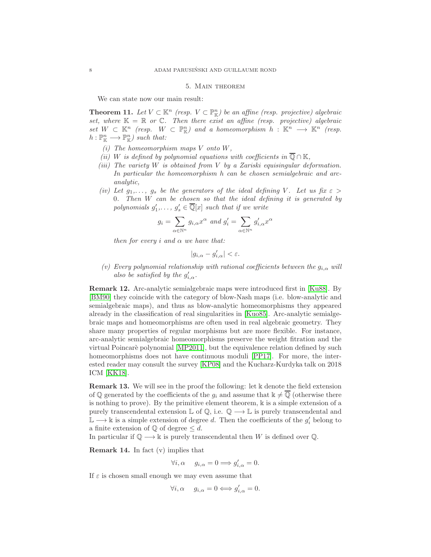## 5. Main theorem

We can state now our main result:

<span id="page-7-1"></span>**Theorem 11.** Let  $V \subset \mathbb{K}^n$  (resp.  $V \subset \mathbb{P}_{\mathbb{K}}^n$ ) be an affine (resp. projective) algebraic set, where  $K = \mathbb{R}$  or  $\mathbb{C}$ . Then there exist an affine (resp. projective) algebraic  $set W \subset \mathbb{K}^n$  (resp.  $W \subset \mathbb{P}^n_{\mathbb{K}}$ ) and a homeomorphism  $h : \mathbb{K}^n \longrightarrow \mathbb{K}^n$  (resp.  $h: \mathbb{P}_{\mathbb{K}}^n \longrightarrow \mathbb{P}_{\mathbb{K}}^n$  such that:

- (i) The homeomorphism maps  $V$  onto  $W$ ,
- (ii) W is defined by polynomial equations with coefficients in  $\overline{\mathbb{Q}} \cap \mathbb{K}$ ,
- (iii) The variety W is obtained from V by a Zariski equisingular deformation. In particular the homeomorphism h can be chosen semialgebraic and arcanalytic,
- (iv) Let  $g_1,\ldots,g_s$  be the generators of the ideal defining V. Let us fix  $\varepsilon >$ 0. Then  $W$  can be chosen so that the ideal defining it is generated by polynomials  $g'_1, \ldots, g'_s \in \overline{\mathbb{Q}}[x]$  such that if we write

$$
g_i = \sum_{\alpha \in \mathbb{N}^n} g_{i,\alpha} x^{\alpha} \text{ and } g'_i = \sum_{\alpha \in \mathbb{N}^n} g'_{i,\alpha} x^{\alpha}
$$

then for every i and  $\alpha$  we have that:

$$
|g_{i,\alpha}-g_{i,\alpha}'|<\varepsilon.
$$

(v) Every polynomial relationship with rational coefficients between the  $g_{i,\alpha}$  will also be satisfied by the  $g'_{i,\alpha}$ .

<span id="page-7-0"></span>Remark 12. Arc-analytic semialgebraic maps were introduced first in [\[Ku88\]](#page-15-9). By [\[BM90\]](#page-14-2) they coincide with the category of blow-Nash maps (i.e. blow-analytic and semialgebraic maps), and thus as blow-analytic homeomorphisms they appeared already in the classification of real singularities in [\[Kuo85\]](#page-15-10). Arc-analytic semialgebraic maps and homeomorphisms are often used in real algebraic geometry. They share many properties of regular morphisms but are more flexible. For instance, arc-analytic semialgebraic homeomorphisms preserve the weight fitration and the virtual Poincarè polynomial [\[MP2011\]](#page-15-11), but the equivalence relation defined by such homeomorphisms does not have continuous moduli [\[PP17\]](#page-15-8). For more, the interested reader may consult the survey [\[KP08\]](#page-15-12) and the Kucharz-Kurdyka talk on 2018 ICM [\[KK18\]](#page-15-13).

<span id="page-7-2"></span>Remark 13. We will see in the proof the following: let k denote the field extension of Q generated by the coefficients of the  $g_i$  and assume that  $\mathbb{k} \neq \overline{Q}$  (otherwise there is nothing to prove). By the primitive element theorem,  $\Bbbk$  is a simple extension of a purely transcendental extension  $\mathbb{L}$  of  $\mathbb{Q}$ , i.e.  $\mathbb{Q} \longrightarrow \mathbb{L}$  is purely transcendental and  $\mathbb{L} \longrightarrow \mathbb{k}$  is a simple extension of degree d. Then the coefficients of the  $g'_i$  belong to a finite extension of  $\mathbb Q$  of degree  $\leq d$ .

In particular if  $\mathbb{Q} \longrightarrow \mathbb{k}$  is purely transcendental then W is defined over  $\mathbb{Q}$ .

**Remark 14.** In fact  $(v)$  implies that

 $\forall i, \alpha \quad g_{i,\alpha} = 0 \Longrightarrow g'_{i,\alpha} = 0.$ 

If  $\varepsilon$  is chosen small enough we may even assume that

 $\forall i, \alpha \quad g_{i,\alpha} = 0 \Longleftrightarrow g'_{i,\alpha} = 0.$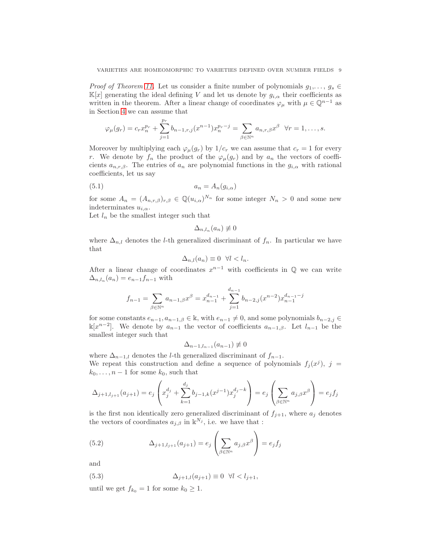*Proof of Theorem [11.](#page-7-1)* Let us consider a finite number of polynomials  $g_1, \ldots, g_s \in$  $\mathbb{K}[x]$  generating the ideal defining V and let us denote by  $g_{i,\alpha}$  their coefficients as written in the theorem. After a linear change of coordinates  $\varphi_{\mu}$  with  $\mu \in \mathbb{Q}^{n-1}$  as in Section [4](#page-6-0) we can assume that

$$
\varphi_{\mu}(g_r) = c_r x_n^{p_r} + \sum_{j=1}^{p_r} b_{n-1,r,j}(x^{n-1}) x_n^{p_r - j} = \sum_{\beta \in \mathbb{N}^n} a_{n,r,\beta} x^{\beta} \quad \forall r = 1, \dots, s.
$$

Moreover by multiplying each  $\varphi_{\mu}(g_r)$  by  $1/c_r$  we can assume that  $c_r = 1$  for every r. We denote by  $f_n$  the product of the  $\varphi_\mu(g_r)$  and by  $a_n$  the vectors of coefficients  $a_{n,r,\beta}$ . The entries of  $a_n$  are polynomial functions in the  $g_{i,\alpha}$  with rational coefficients, let us say

$$
(5.1) \t\t\t a_n = A_n(g_{i,\alpha})
$$

for some  $A_n = (A_{n,r,\beta})_{r,\beta} \in \mathbb{Q}(u_{i,\alpha})^{N_n}$  for some integer  $N_n > 0$  and some new indeterminates  $u_{i,\alpha}$ .

Let  $l_n$  be the smallest integer such that

<span id="page-8-1"></span>
$$
\Delta_{n,l_n}(a_n) \not\equiv 0
$$

where  $\Delta_{n,l}$  denotes the l-th generalized discriminant of  $f_n$ . In particular we have that

$$
\Delta_{n,l}(a_n) \equiv 0 \ \ \forall l < l_n.
$$

After a linear change of coordinates  $x^{n-1}$  with coefficients in  $\mathbb Q$  we can write  $\Delta_{n,l_n}(a_n) = e_{n-1}f_{n-1}$  with

$$
f_{n-1} = \sum_{\beta \in \mathbb{N}^n} a_{n-1,\beta} x^{\beta} = x_{n-1}^{d_{n-1}} + \sum_{j=1}^{d_{n-1}} b_{n-2,j} (x^{n-2}) x_{n-1}^{d_{n-1}-j}
$$

for some constants  $e_{n-1}, a_{n-1,\beta} \in \mathbb{k}$ , with  $e_{n-1} \neq 0$ , and some polynomials  $b_{n-2,j} \in$  $\mathbb{K}[x^{n-2}]$ . We denote by  $a_{n-1}$  the vector of coefficients  $a_{n-1,β}$ . Let  $l_{n-1}$  be the smallest integer such that

$$
\Delta_{n-1,l_{n-1}}(a_{n-1}) \not\equiv 0
$$

where  $\Delta_{n-1,l}$  denotes the l-th generalized discriminant of  $f_{n-1}$ . We repeat this construction and define a sequence of polynomials  $f_j(x^j)$ ,  $j =$  $k_0, \ldots, n-1$  for some  $k_0$ , such that

$$
\Delta_{j+1,l_{j+1}}(a_{j+1}) = e_j \left( x_j^{d_j} + \sum_{k=1}^{d_j} b_{j-1,k} (x^{j-1}) x_j^{d_j - k} \right) = e_j \left( \sum_{\beta \in \mathbb{N}^n} a_{j,\beta} x^{\beta} \right) = e_j f_j
$$

is the first non identically zero generalized discriminant of  $f_{j+1}$ , where  $a_j$  denotes the vectors of coordinates  $a_{j,\beta}$  in  $\mathbb{k}^{N_j}$ , i.e. we have that :

<span id="page-8-0"></span>(5.2) 
$$
\Delta_{j+1,l_{j+1}}(a_{j+1}) = e_j \left( \sum_{\beta \in \mathbb{N}^n} a_{j,\beta} x^{\beta} \right) = e_j f_j
$$

and

<span id="page-8-2"></span>(5.3) 
$$
\Delta_{j+1,l}(a_{j+1}) \equiv 0 \ \forall l < l_{j+1},
$$

until we get  $f_{k_0} = 1$  for some  $k_0 \geq 1$ .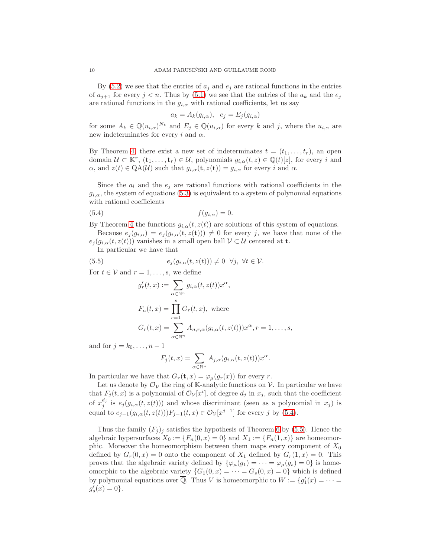By  $(5.2)$  we see that the entries of  $a_i$  and  $e_j$  are rational functions in the entries of  $a_{j+1}$  for every  $j < n$ . Thus by [\(5.1\)](#page-8-1) we see that the entries of the  $a_k$  and the  $e_j$ are rational functions in the  $g_{i,\alpha}$  with rational coefficients, let us say

$$
a_k = A_k(g_{i,\alpha}), \quad e_j = E_j(g_{i,\alpha})
$$

for some  $A_k \in \mathbb{Q}(u_{i,\alpha})^{N_k}$  and  $E_j \in \mathbb{Q}(u_{i,\alpha})$  for every k and j, where the  $u_{i,\alpha}$  are new indeterminates for every i and  $\alpha$ .

By Theorem [4,](#page-2-0) there exist a new set of indeterminates  $t = (t_1, \ldots, t_r)$ , an open domain  $\mathcal{U} \subset \mathbb{K}^r$ ,  $(\mathbf{t}_1, \ldots, \mathbf{t}_r) \in \mathcal{U}$ , polynomials  $g_{i,\alpha}(t,z) \in \mathbb{Q}(t)[z]$ , for every i and  $\alpha$ , and  $z(t) \in \mathrm{QA}(\mathcal{U})$  such that  $g_{i,\alpha}(\mathbf{t},z(\mathbf{t})) = g_{i,\alpha}$  for every i and  $\alpha$ .

Since the  $a_l$  and the  $e_j$  are rational functions with rational coefficients in the  $g_{i,\alpha}$ , the system of equations [\(5.3\)](#page-8-2) is equivalent to a system of polynomial equations with rational coefficients

$$
(5.4) \t\t f(g_{i,\alpha}) = 0.
$$

By Theorem [4](#page-2-0) the functions  $g_{i,\alpha}(t, z(t))$  are solutions of this system of equations. Because  $e_j(g_{i,\alpha}) = e_j(g_{i,\alpha}(\mathbf{t},z(\mathbf{t}))) \neq 0$  for every j, we have that none of the

 $e_i(g_{i,\alpha}(t, z(t)))$  vanishes in a small open ball  $\mathcal{V} \subset \mathcal{U}$  centered at **t**.

In particular we have that

(5.5) 
$$
e_j(g_{i,\alpha}(t,z(t))) \neq 0 \quad \forall j, \ \forall t \in \mathcal{V}.
$$

For  $t \in V$  and  $r = 1, \ldots, s$ , we define

<span id="page-9-1"></span><span id="page-9-0"></span>
$$
g'_r(t,x) := \sum_{\alpha \in \mathbb{N}^n} g_{i,\alpha}(t,z(t))x^{\alpha},
$$
  
\n
$$
F_n(t,x) = \prod_{r=1}^s G_r(t,x), \text{ where}
$$
  
\n
$$
G_r(t,x) = \sum_{\alpha \in \mathbb{N}^n} A_{n,r,\alpha}(g_{i,\alpha}(t,z(t)))x^{\alpha}, r = 1,\dots,s,
$$

and for  $j = k_0, \ldots, n-1$ 

$$
F_j(t,x) = \sum_{\alpha \in \mathbb{N}^n} A_{j,\alpha}(g_{i,\alpha}(t,z(t))) x^{\alpha}.
$$

In particular we have that  $G_r(\mathbf{t}, x) = \varphi_\mu(g_r(x))$  for every r.

Let us denote by  $\mathcal{O}_{\mathcal{V}}$  the ring of K-analytic functions on  $\mathcal{V}$ . In particular we have that  $F_j(t, x)$  is a polynomial of  $\mathcal{O}_\mathcal{V}[x^i]$ , of degree  $d_j$  in  $x_j$ , such that the coefficient of  $x_j^{d_j}$  is  $e_j(g_{i,\alpha}(t, z(t)))$  and whose discriminant (seen as a polynomial in  $x_j$ ) is equal to  $e_{j-1}(g_{i,\alpha}(t, z(t)))F_{j-1}(t, x) \in \mathcal{O}_{\mathcal{V}}[x^{j-1}]$  for every j by [\(5.4\)](#page-9-0).

Thus the family  $(F_i)_i$  satisfies the hypothesis of Theorem [6](#page-5-0) by [\(5.5\)](#page-9-1). Hence the algebraic hypersurfaces  $X_0 := \{F_n(0, x) = 0\}$  and  $X_1 := \{F_n(1, x)\}\$  are homeomorphic. Moreover the homeomorphism between them maps every component of  $X_0$ defined by  $G_r(0, x) = 0$  onto the component of  $X_1$  defined by  $G_r(1, x) = 0$ . This proves that the algebraic variety defined by  $\{\varphi_{\mu}(g_1) = \cdots = \varphi_{\mu}(g_s) = 0\}$  is homeomorphic to the algebraic variety  $\{G_1(0, x) = \cdots = G_s(0, x) = 0\}$  which is defined by polynomial equations over  $\overline{\mathbb{Q}}$ . Thus V is homeomorphic to  $W := \{g'_1(x) = \cdots =$  $g'_{s}(x) = 0$ .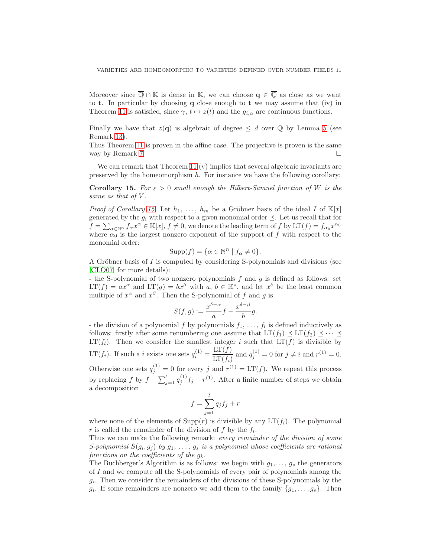Moreover since  $\overline{\mathbb{Q}} \cap \mathbb{K}$  is dense in K, we can choose  $\mathbf{q} \in \overline{\mathbb{Q}}$  as close as we want to **t**. In particular by choosing  $q$  close enough to **t** we may assume that (iv) in Theorem [11](#page-7-1) is satisfied, since  $\gamma$ ,  $t \mapsto z(t)$  and the  $g_{i,\alpha}$  are continuous functions.

Finally we have that  $z(\mathbf{q})$  is algebraic of degree  $\leq d$  over  $\mathbb Q$  by Lemma [5](#page-4-0) (see Remark [13\)](#page-7-2).

Thus Theorem [11](#page-7-1) is proven in the affine case. The projective is proven is the same way by Remark [7.](#page-5-1)

We can remark that Theorem [11](#page-7-1) (v) implies that several algebraic invariants are preserved by the homeomorphism  $h$ . For instance we have the following corollary:

<span id="page-10-0"></span>**Corollary 15.** For  $\varepsilon > 0$  small enough the Hilbert-Samuel function of W is the same as that of V.

*Proof of Corollary [15.](#page-10-0)* Let  $h_1, \ldots, h_m$  be a Gröbner basis of the ideal I of  $\mathbb{K}[x]$ generated by the  $g_i$  with respect to a given monomial order  $\preceq$ . Let us recall that for  $f = \sum_{\alpha \in \mathbb{N}^n} f_{\alpha} x^{\alpha} \in \mathbb{K}[x], f \neq 0$ , we denote the leading term of f by  $LT(f) = f_{\alpha_0} x^{\alpha_0}$ where  $\alpha_0$  is the largest nonzero exponent of the support of f with respect to the monomial order:

$$
Supp(f) = \{ \alpha \in \mathbb{N}^n \mid f_\alpha \neq 0 \}.
$$

A Gröbner basis of I is computed by considering S-polynomials and divisions (see [\[CLO07\]](#page-15-14) for more details):

- the S-polynomial of two nonzero polynomials  $f$  and  $g$  is defined as follows: set  $LT(f) = ax^{\alpha}$  and  $LT(g) = bx^{\beta}$  with  $a, b \in \mathbb{K}^*$ , and let  $x^{\delta}$  be the least common multiple of  $x^{\alpha}$  and  $x^{\beta}$ . Then the S-polynomial of f and g is

$$
S(f,g) := \frac{x^{\delta - \alpha}}{a} f - \frac{x^{\delta - \beta}}{b} g.
$$

- the division of a polynomial f by polynomials  $f_1, \ldots, f_l$  is defined inductively as follows: firstly after some renumbering one assume that  $LT(f_1) \preceq LT(f_2) \preceq \cdots \preceq$  $LT(f_i)$ . Then we consider the smallest integer i such that  $LT(f)$  is divisible by LT $(f_i)$ . If such a *i* exists one sets  $q_i^{(1)} = \frac{\text{LT}(f)}{\text{LT}(f_i)}$  $\frac{\text{LT}(f)}{\text{LT}(f_i)}$  and  $q_j^{(1)} = 0$  for  $j \neq i$  and  $r^{(1)} = 0$ . Otherwise one sets  $q_j^{(1)} = 0$  for every j and  $r^{(1)} = LT(f)$ . We repeat this process

by replacing f by  $f - \sum_{j=1}^{l} q_j^{(1)} f_j - r^{(1)}$ . After a finite number of steps we obtain a decomposition

$$
f = \sum_{j=1}^{l} q_j f_j + r
$$

where none of the elements of  $\text{Supp}(r)$  is divisible by any  $LT(f_i)$ . The polynomial r is called the remainder of the division of f by the  $f_i$ .

Thus we can make the following remark: every remainder of the division of some S-polynomial  $S(g_i, g_j)$  by  $g_1, \ldots, g_s$  is a polynomial whose coefficients are rational functions on the coefficients of the  $g_k$ .

The Buchberger's Algorithm is as follows: we begin with  $g_1, \ldots, g_s$  the generators of I and we compute all the S-polynomials of every pair of polynomials among the  $g_i$ . Then we consider the remainders of the divisions of these S-polynomials by the  $g_i$ . If some remainders are nonzero we add them to the family  $\{g_1, \ldots, g_s\}$ . Then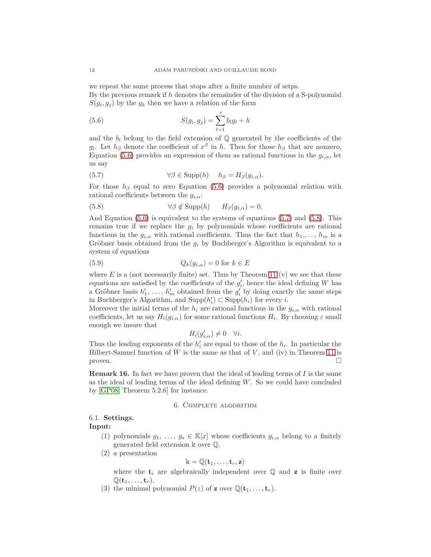we repeat the same process that stops after a finite number of setps. By the previous remark if  $h$  denotes the remainder of the division of a S-polynomial  $S(g_i, g_j)$  by the  $g_k$  then we have a relation of the form

<span id="page-11-0"></span>(5.6) 
$$
S(g_i, g_j) = \sum_{l=1}^{s} b_l g_l + h
$$

and the  $b_l$  belong to the field extension of  $\mathbb Q$  generated by the coefficients of the g<sub>l</sub>. Let  $h_\beta$  denote the coefficient of  $x^\beta$  in h. Then for those  $h_\beta$  that are nonzero, Equation [\(5.6\)](#page-11-0) provides an expression of them as rational functions in the  $g_{i,\alpha}$ , let us say

<span id="page-11-1"></span>(5.7) 
$$
\forall \beta \in \text{Supp}(h) \quad h_{\beta} = H_{\beta}(g_{i,\alpha}).
$$

For those  $h_\beta$  equal to zero Equation [\(5.6\)](#page-11-0) provides a polynomial relation with rational coefficients between the  $g_{i,\alpha}$ :

<span id="page-11-2"></span>(5.8) 
$$
\forall \beta \notin \text{Supp}(h) \qquad H_{\beta}(g_{i,\alpha}) = 0.
$$

And Equation [\(5.6\)](#page-11-0) is equivalent to the systems of equations [\(5.7\)](#page-11-1) and [\(5.8\)](#page-11-2). This remains true if we replace the  $g_i$  by polynomials whose coefficients are rational functions in the  $g_{i,\alpha}$  with rational coefficients. Thus the fact that  $h_1,\ldots,h_m$  is a Gröbner basis obtained from the  $g_i$  by Buchberger's Algorithm is equivalent to a system of equations

(5.9) 
$$
Q_k(g_{i,\alpha}) = 0 \text{ for } k \in E
$$

where  $E$  is a (not necessarily finite) set. Thus by Theorem [11](#page-7-1) (v) we see that these equations are satisfied by the coefficients of the  $g'_{i}$ , hence the ideal defining W has a Gröbner basis  $h'_1, \ldots, h'_m$  obtained from the  $g'_i$  by doing exactly the same steps in Buchberger's Algorithm, and  $\text{Supp}(h_i') \subset \text{Supp}(h_i)$  for every *i*.

Moreover the initial terms of the  $h_i$  are rational functions in the  $g_{i,\alpha}$  with rational coefficients, let us say  $H_i(g_{i,\alpha})$  for some rational functions  $H_i$ . By choosing  $\varepsilon$  small enough we insure that

$$
H_i(g'_{i,\alpha}) \neq 0 \quad \forall i.
$$

Thus the leading exponents of the  $h'_i$  are equal to those of the  $h_i$ . In particular the Hilbert-Samuel function of  $W$  is the same as that of  $V$ , and (iv) in Theorem [11](#page-7-1) is proven.  $\Box$ 

**Remark 16.** In fact we have proven that the ideal of leading terms of  $I$  is the same as the ideal of leading terms of the ideal defining  $W$ . So we could have concluded by [\[GP08,](#page-15-15) Theorem 5.2.6] for instance.

#### 6. Complete algorithm

# 6.1. Settings.

Input:

- (1) polynomials  $g_1, \ldots, g_s \in \mathbb{K}[x]$  whose coefficients  $g_{i,\alpha}$  belong to a finitely generated field extension k over Q.
- (2) a presentation

$$
\Bbbk=\mathbb{Q}({\bf t}_1,\ldots,{\bf t}_r,{\bf z})
$$

where the  $t_i$  are algebraically independent over  $\mathbb Q$  and  $z$  is finite over  $\mathbb{Q}(\mathbf{t}_1,\ldots,\mathbf{t}_r).$ 

(3) the minimal polynomial  $P(z)$  of **z** over  $\mathbb{Q}(\mathbf{t}_1, \ldots, \mathbf{t}_r)$ .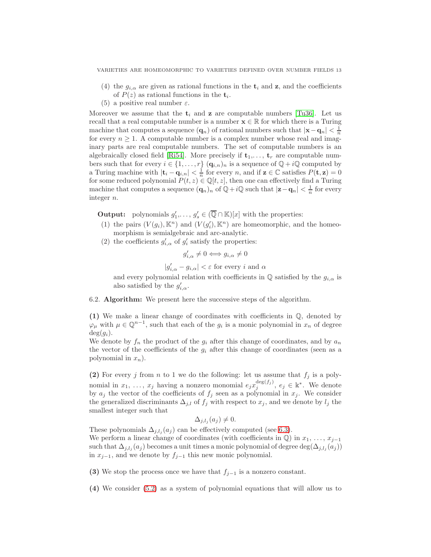- (4) the  $g_{i,\alpha}$  are given as rational functions in the  $t_i$  and  $z$ , and the coefficients of  $P(z)$  as rational functions in the  $t_i$ .
- (5) a positive real number  $\varepsilon$ .

Moreover we assume that the  $t_i$  and **z** are computable numbers [\[Tu36\]](#page-15-16). Let us recall that a real computable number is a number  $\mathbf{x} \in \mathbb{R}$  for which there is a Turing machine that computes a sequence  $(\mathbf{q}_n)$  of rational numbers such that  $|\mathbf{x} - \mathbf{q}_n| < \frac{1}{n}$ for every  $n \geq 1$ . A computable number is a complex number whose real and imaginary parts are real computable numbers. The set of computable numbers is an algebraically closed field [\[Ri54\]](#page-15-17). More precisely if  $t_1, \ldots, t_r$  are computable numbers such that for every  $i \in \{1, ..., r\}$   $(\mathbf{q}_{i,n})_n$  is a sequence of  $\mathbb{Q} + i\mathbb{Q}$  computed by a Turing machine with  $|\mathbf{t}_i - \mathbf{q}_{i,n}| < \frac{1}{n}$  for every n, and if  $\mathbf{z} \in \mathbb{C}$  satisfies  $P(\mathbf{t}, \mathbf{z}) = 0$ for some reduced polynomial  $P(t, z) \in \mathbb{Q}[t, z]$ , then one can effectively find a Turing machine that computes a sequence  $(q_n)_n$  of  $\mathbb{Q} + i\mathbb{Q}$  such that  $|z - q_n| < \frac{1}{n}$  for every integer n.

**Output:** polynomials  $g'_1, \ldots, g'_s \in (\overline{\mathbb{Q}} \cap \mathbb{K})[x]$  with the properties:

- (1) the pairs  $(V(g_i), \mathbb{K}^n)$  and  $(V(g'_i), \mathbb{K}^n)$  are homeomorphic, and the homeomorphism is semialgebraic and arc-analytic.
- (2) the coefficients  $g'_{i,\alpha}$  of  $g'_{i}$  satisfy the properties:

 $g'_{i,\alpha} \neq 0 \Longleftrightarrow g_{i,\alpha} \neq 0$ 

 $|g'_{i,\alpha} - g_{i,\alpha}| < \varepsilon$  for every *i* and  $\alpha$ 

and every polynomial relation with coefficients in  $\mathbb Q$  satisfied by the  $g_{i,\alpha}$  is also satisfied by the  $g'_{i,\alpha}$ .

6.2. Algorithm: We present here the successive steps of the algorithm.

(1) We make a linear change of coordinates with coefficients in Q, denoted by  $\varphi_{\mu}$  with  $\mu \in \mathbb{Q}^{n-1}$ , such that each of the  $g_i$  is a monic polynomial in  $x_n$  of degree  $\deg(g_i)$ .

We denote by  $f_n$  the product of the  $g_i$  after this change of coordinates, and by  $a_n$ the vector of the coefficients of the  $g_i$  after this change of coordinates (seen as a polynomial in  $x_n$ ).

(2) For every j from n to 1 we do the following: let us assume that  $f_j$  is a polynomial in  $x_1, \ldots, x_j$  having a nonzero monomial  $e_j x_j^{\deg(f_j)}$ ,  $e_j \in \mathbb{k}^*$ . We denote by  $a_j$  the vector of the coefficients of  $f_j$  seen as a polynomial in  $x_j$ . We consider the generalized discriminants  $\Delta_{j,l}$  of  $f_j$  with respect to  $x_j$ , and we denote by  $l_j$  the smallest integer such that

$$
\Delta_{j,l_j}(a_j)\neq 0.
$$

These polynomials  $\Delta_{j,l_j}(a_j)$  can be effectively computed (see [6.3\)](#page-14-1). We perform a linear change of coordinates (with coefficients in  $\mathbb{Q}$ ) in  $x_1, \ldots, x_{j-1}$ such that  $\Delta_{j,l_j}(a_j)$  becomes a unit times a monic polynomial of degree  $\deg(\Delta_{j,l_j}(a_j))$ in  $x_{j-1}$ , and we denote by  $f_{j-1}$  this new monic polynomial.

(3) We stop the process once we have that  $f_{j-1}$  is a nonzero constant.

(4) We consider [\(5.2\)](#page-8-0) as a system of polynomial equations that will allow us to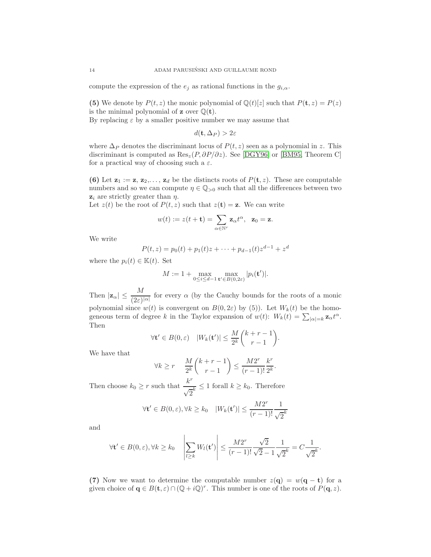compute the expression of the  $e_i$  as rational functions in the  $g_{i,\alpha}$ .

(5) We denote by  $P(t, z)$  the monic polynomial of  $\mathbb{Q}(t)[z]$  such that  $P(t, z) = P(z)$ is the minimal polynomial of **z** over  $\mathbb{Q}(\mathbf{t})$ .

By replacing  $\varepsilon$  by a smaller positive number we may assume that

$$
d(\mathbf{t}, \Delta_P) > 2\varepsilon
$$

where  $\Delta_P$  denotes the discriminant locus of  $P(t, z)$  seen as a polynomial in z. This discriminant is computed as  $\text{Res}_z(P, \partial P/\partial z)$ . See [\[DGY96\]](#page-15-18) or [\[BM95,](#page-15-19) Theorem C] for a practical way of choosing such a  $\varepsilon$ .

(6) Let  $z_1 := z, z_2, \ldots, z_d$  be the distincts roots of  $P(t, z)$ . These are computable numbers and so we can compute  $\eta \in \mathbb{Q}_{>0}$  such that all the differences between two  $z_i$  are strictly greater than  $\eta$ .

Let  $z(t)$  be the root of  $P(t, z)$  such that  $z(t) = \mathbf{z}$ . We can write

$$
w(t) := z(t + \mathbf{t}) = \sum_{\alpha \in \mathbb{N}^r} \mathbf{z}_{\alpha} t^{\alpha}, \ \ \mathbf{z}_0 = \mathbf{z}.
$$

We write

$$
P(t, z) = p_0(t) + p_1(t)z + \dots + p_{d-1}(t)z^{d-1} + z^d
$$

where the  $p_i(t) \in \mathbb{K}(t)$ . Set

$$
M := 1 + \max_{0 \le i \le d-1} \max_{\mathbf{t}' \in B(0,2\varepsilon)} |p_i(\mathbf{t}')|.
$$

Then  $|\mathbf{z}_{\alpha}| \leq \frac{M}{(2\varepsilon)^{|\alpha|}}$  for every  $\alpha$  (by the Cauchy bounds for the roots of a monic polynomial since  $w(t)$  is convergent on  $B(0, 2\varepsilon)$  by (5)). Let  $W_k(t)$  be the homogeneous term of degree k in the Taylor expansion of  $w(t)$ :  $W_k(t) = \sum_{|\alpha|=k} \mathbf{z}_{\alpha} t^{\alpha}$ . Then

$$
\forall \mathbf{t}' \in B(0, \varepsilon) \quad |W_k(\mathbf{t}')| \le \frac{M}{2^k} {k+r-1 \choose r-1}.
$$

We have that

$$
\forall k \ge r \quad \frac{M}{2^k} {k+r-1 \choose r-1} \le \frac{M2^r}{(r-1)!} \frac{k^r}{2^k}.
$$

Then choose  $k_0 \geq r$  such that  $\frac{k^r}{\sqrt{2}}$  $\frac{k}{\sqrt{2}^k} \leq 1$  forall  $k \geq k_0$ . Therefore

$$
\forall \mathbf{t}' \in B(0, \varepsilon), \forall k \ge k_0 \quad |W_k(\mathbf{t}')| \le \frac{M2^r}{(r-1)!} \frac{1}{\sqrt{2}^k}
$$

and

$$
\forall \mathbf{t}' \in B(0, \varepsilon), \forall k \geq k_0 \quad \left| \sum_{l \geq k} W_l(\mathbf{t}') \right| \leq \frac{M2^r}{(r-1)!} \frac{\sqrt{2}}{\sqrt{2}-1} \frac{1}{\sqrt{2}^k} = C \frac{1}{\sqrt{2}^k}.
$$

(7) Now we want to determine the computable number  $z(\mathbf{q}) = w(\mathbf{q} - \mathbf{t})$  for a given choice of  $\mathbf{q} \in B(\mathbf{t}, \varepsilon) \cap (\mathbb{Q} + i\mathbb{Q})^r$ . This number is one of the roots of  $P(\mathbf{q}, z)$ .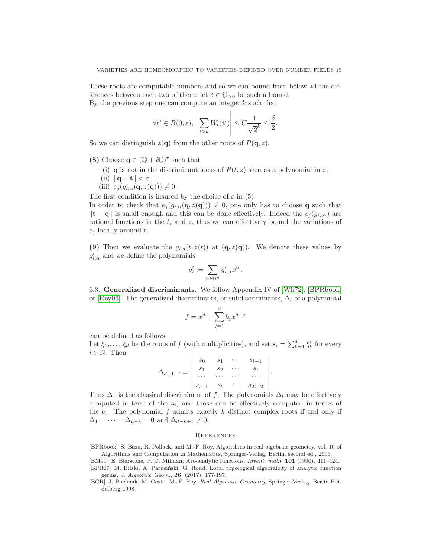These roots are computable numbers and so we can bound from below all the differences between each two of them: let  $\delta \in \mathbb{Q}_{>0}$  be such a bound. By the previous step one can compute an integer  $k$  such that

$$
\forall \mathbf{t}' \in B(0, \varepsilon), \ \left| \sum_{l \geq k} W_l(\mathbf{t}') \right| \leq C \frac{1}{\sqrt{2}^k} \leq \frac{\delta}{2}.
$$

So we can distinguish  $z(\mathbf{q})$  from the other roots of  $P(\mathbf{q}, z)$ .

- (8) Choose  $\mathbf{q} \in (\mathbb{Q} + i\mathbb{Q})^r$  such that
	- (i) **q** is not in the discriminant locus of  $P(t, z)$  seen as a polynomial in z,
	- (ii)  $\|\mathbf{q} \mathbf{t}\| < \varepsilon$ ,
	- (iii)  $e_i(g_{i,\alpha}(\mathbf{q}, z(\mathbf{q}))) \neq 0.$

The first condition is insured by the choice of  $\varepsilon$  in (5).

In order to check that  $e_j(g_{i,\alpha}(\mathbf{q},z(\mathbf{q})))\neq 0$ , one only has to choose **q** such that  $||$ **t** − **q** $||$  is small enough and this can be done effectively. Indeed the  $e_i(g_i, \alpha)$  are rational functions in the  $t_i$  and z, thus we can effectively bound the variations of  $e_i$  locally around **t**.

(9) Then we evaluate the  $g_{i,a}(t, z(t))$  at  $(\mathbf{q}, z(\mathbf{q}))$ . We denote these values by  $g'_{i,\alpha}$  and we define the polynomials

$$
g_i':=\sum_{\alpha\in\mathbb{N}^n}g_{i,\alpha}'x^\alpha.
$$

<span id="page-14-1"></span>6.3. Generalized discriminants. We follow Appendix IV of [\[Wh72\]](#page-15-20), [\[BPRbook\]](#page-14-3) or [\[Roy06\]](#page-15-21). The generalized discriminants, or subdiscriminants,  $\Delta_l$  of a polynomial

$$
f = x^d + \sum_{j=1}^d b_j x^{d-j}
$$

can be defined as follows:

Let  $\xi_1, \ldots, \xi_d$  be the roots of f (with multiplicities), and set  $s_i = \sum_{k=1}^d \xi_k^i$  for every  $i \in \mathbb{N}$ . Then

$$
\Delta_{d+1-l} = \begin{vmatrix} s_0 & s_1 & \cdots & s_{l-1} \\ s_1 & s_2 & \cdots & s_l \\ \cdots & \cdots & \cdots & \cdots \\ s_{l-1} & s_l & \cdots & s_{2l-2} \end{vmatrix}.
$$

Thus  $\Delta_1$  is the classical discriminant of f. The polynomials  $\Delta_l$  may be effectively computed in term of the  $s_i$ , and those can be effectively computed in terms of the  $b_i$ . The polynomial f admits exactly k distinct complex roots if and only if  $\Delta_1 = \cdots = \Delta_{d-k} = 0$  and  $\Delta_{d-k+1} \neq 0$ .

#### **REFERENCES**

<span id="page-14-3"></span>[BPRbook] S. Basu, R. Pollack, and M.-F. Roy, Algorithms in real algebraic geometry, vol. 10 of Algorithms and Computation in Mathematics, Springer-Verlag, Berlin, second ed., 2006.

<span id="page-14-2"></span>[BM90] E. Bierstone, P. D. Milman, Arc-analytic functions, Invent. math. 101 (1990), 411–424. [BPR17] M. Bilski, A. Parusiński, G. Rond, Local topological algebraicity of analytic function germs, J. Algebraic Geom., 26, (2017), 177-197.

<span id="page-14-0"></span>[BCR] J. Bochnak, M. Coste, M.-F. Roy, Real Algebraic Geometry, Springer-Verlag, Berlin Heidelberg 1998.